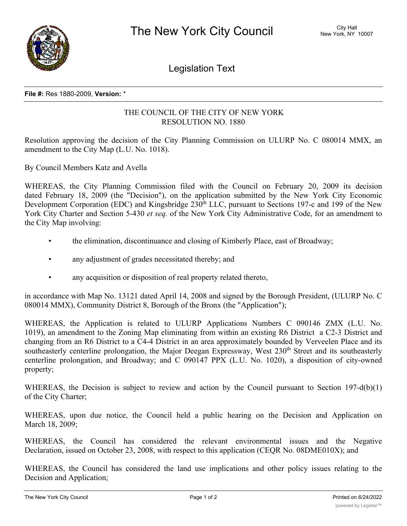

Legislation Text

## **File #:** Res 1880-2009, **Version:** \*

## THE COUNCIL OF THE CITY OF NEW YORK RESOLUTION NO. 1880

Resolution approving the decision of the City Planning Commission on ULURP No. C 080014 MMX, an amendment to the City Map (L.U. No. 1018).

By Council Members Katz and Avella

WHEREAS, the City Planning Commission filed with the Council on February 20, 2009 its decision dated February 18, 2009 (the "Decision"), on the application submitted by the New York City Economic Development Corporation (EDC) and Kingsbridge 230<sup>th</sup> LLC, pursuant to Sections 197-c and 199 of the New York City Charter and Section 5-430 *et seq.* of the New York City Administrative Code, for an amendment to the City Map involving:

- the elimination, discontinuance and closing of Kimberly Place, east of Broadway;
- any adjustment of grades necessitated thereby; and
- any acquisition or disposition of real property related thereto,

in accordance with Map No. 13121 dated April 14, 2008 and signed by the Borough President, (ULURP No. C 080014 MMX), Community District 8, Borough of the Bronx (the "Application");

WHEREAS, the Application is related to ULURP Applications Numbers C 090146 ZMX (L.U. No. 1019), an amendment to the Zoning Map eliminating from within an existing R6 District a C2-3 District and changing from an R6 District to a C4-4 District in an area approximately bounded by Verveelen Place and its southeasterly centerline prolongation, the Major Deegan Expressway, West 230<sup>th</sup> Street and its southeasterly centerline prolongation, and Broadway; and C 090147 PPX (L.U. No. 1020), a disposition of city-owned property;

WHEREAS, the Decision is subject to review and action by the Council pursuant to Section 197-d(b)(1) of the City Charter;

WHEREAS, upon due notice, the Council held a public hearing on the Decision and Application on March 18, 2009;

WHEREAS, the Council has considered the relevant environmental issues and the Negative Declaration, issued on October 23, 2008, with respect to this application (CEQR No. 08DME010X); and

WHEREAS, the Council has considered the land use implications and other policy issues relating to the Decision and Application;